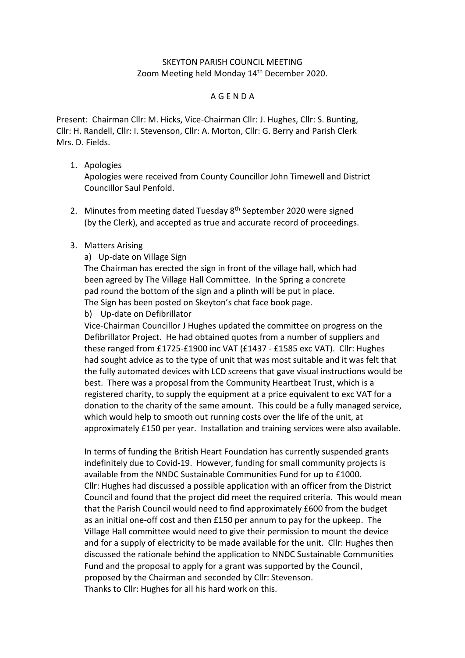## SKEYTON PARISH COUNCIL MEETING Zoom Meeting held Monday 14<sup>th</sup> December 2020.

## A G E N D A

Present: Chairman Cllr: M. Hicks, Vice-Chairman Cllr: J. Hughes, Cllr: S. Bunting, Cllr: H. Randell, Cllr: I. Stevenson, Cllr: A. Morton, Cllr: G. Berry and Parish Clerk Mrs. D. Fields.

## 1. Apologies

Apologies were received from County Councillor John Timewell and District Councillor Saul Penfold.

2. Minutes from meeting dated Tuesday 8<sup>th</sup> September 2020 were signed (by the Clerk), and accepted as true and accurate record of proceedings.

## 3. Matters Arising

a) Up-date on Village Sign

The Chairman has erected the sign in front of the village hall, which had been agreed by The Village Hall Committee. In the Spring a concrete pad round the bottom of the sign and a plinth will be put in place.

The Sign has been posted on Skeyton's chat face book page.

b) Up-date on Defibrillator

Vice-Chairman Councillor J Hughes updated the committee on progress on the Defibrillator Project. He had obtained quotes from a number of suppliers and these ranged from £1725-£1900 inc VAT (£1437 - £1585 exc VAT). Cllr: Hughes had sought advice as to the type of unit that was most suitable and it was felt that the fully automated devices with LCD screens that gave visual instructions would be best. There was a proposal from the Community Heartbeat Trust, which is a registered charity, to supply the equipment at a price equivalent to exc VAT for a donation to the charity of the same amount. This could be a fully managed service, which would help to smooth out running costs over the life of the unit, at approximately £150 per year. Installation and training services were also available.

In terms of funding the British Heart Foundation has currently suspended grants indefinitely due to Covid-19. However, funding for small community projects is available from the NNDC Sustainable Communities Fund for up to £1000. Cllr: Hughes had discussed a possible application with an officer from the District Council and found that the project did meet the required criteria. This would mean that the Parish Council would need to find approximately £600 from the budget as an initial one-off cost and then £150 per annum to pay for the upkeep. The Village Hall committee would need to give their permission to mount the device and for a supply of electricity to be made available for the unit. Cllr: Hughes then discussed the rationale behind the application to NNDC Sustainable Communities Fund and the proposal to apply for a grant was supported by the Council, proposed by the Chairman and seconded by Cllr: Stevenson. Thanks to Cllr: Hughes for all his hard work on this.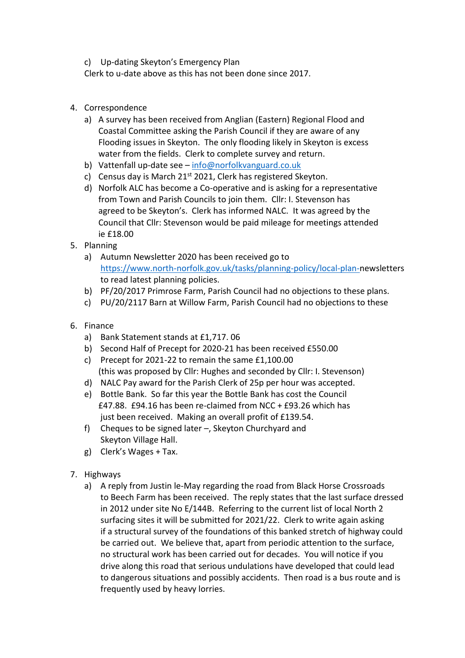c) Up-dating Skeyton's Emergency Plan

Clerk to u-date above as this has not been done since 2017.

- 4. Correspondence
	- a) A survey has been received from Anglian (Eastern) Regional Flood and Coastal Committee asking the Parish Council if they are aware of any Flooding issues in Skeyton. The only flooding likely in Skeyton is excess water from the fields. Clerk to complete survey and return.
	- b) Vattenfall up-date see [info@norfolkvanguard.co.uk](mailto:info@norfolkvanguard.co.uk)
	- c) Census day is March 21<sup>st</sup> 2021, Clerk has registered Skeyton.
	- d) Norfolk ALC has become a Co-operative and is asking for a representative from Town and Parish Councils to join them. Cllr: I. Stevenson has agreed to be Skeyton's. Clerk has informed NALC. It was agreed by the Council that Cllr: Stevenson would be paid mileage for meetings attended ie £18.00
- 5. Planning
	- a) Autumn Newsletter 2020 has been received go to [https://www.north-norfolk.gov.uk/tasks/planning-policy/local-plan-n](https://www.north-norfolk.gov.uk/tasks/planning-policy/local-plan-)ewsletters to read latest planning policies.
	- b) PF/20/2017 Primrose Farm, Parish Council had no objections to these plans.
	- c) PU/20/2117 Barn at Willow Farm, Parish Council had no objections to these
- 6. Finance
	- a) Bank Statement stands at £1,717. 06
	- b) Second Half of Precept for 2020-21 has been received £550.00
	- c) Precept for 2021-22 to remain the same £1,100.00 (this was proposed by Cllr: Hughes and seconded by Cllr: I. Stevenson)
	- d) NALC Pay award for the Parish Clerk of 25p per hour was accepted.
	- e) Bottle Bank. So far this year the Bottle Bank has cost the Council £47.88. £94.16 has been re-claimed from NCC + £93.26 which has just been received. Making an overall profit of £139.54.
	- f) Cheques to be signed later –, Skeyton Churchyard and Skeyton Village Hall.
	- g) Clerk's Wages + Tax.
- 7. Highways
	- a) A reply from Justin le-May regarding the road from Black Horse Crossroads to Beech Farm has been received. The reply states that the last surface dressed in 2012 under site No E/144B. Referring to the current list of local North 2 surfacing sites it will be submitted for 2021/22. Clerk to write again asking if a structural survey of the foundations of this banked stretch of highway could be carried out. We believe that, apart from periodic attention to the surface, no structural work has been carried out for decades. You will notice if you drive along this road that serious undulations have developed that could lead to dangerous situations and possibly accidents. Then road is a bus route and is frequently used by heavy lorries.